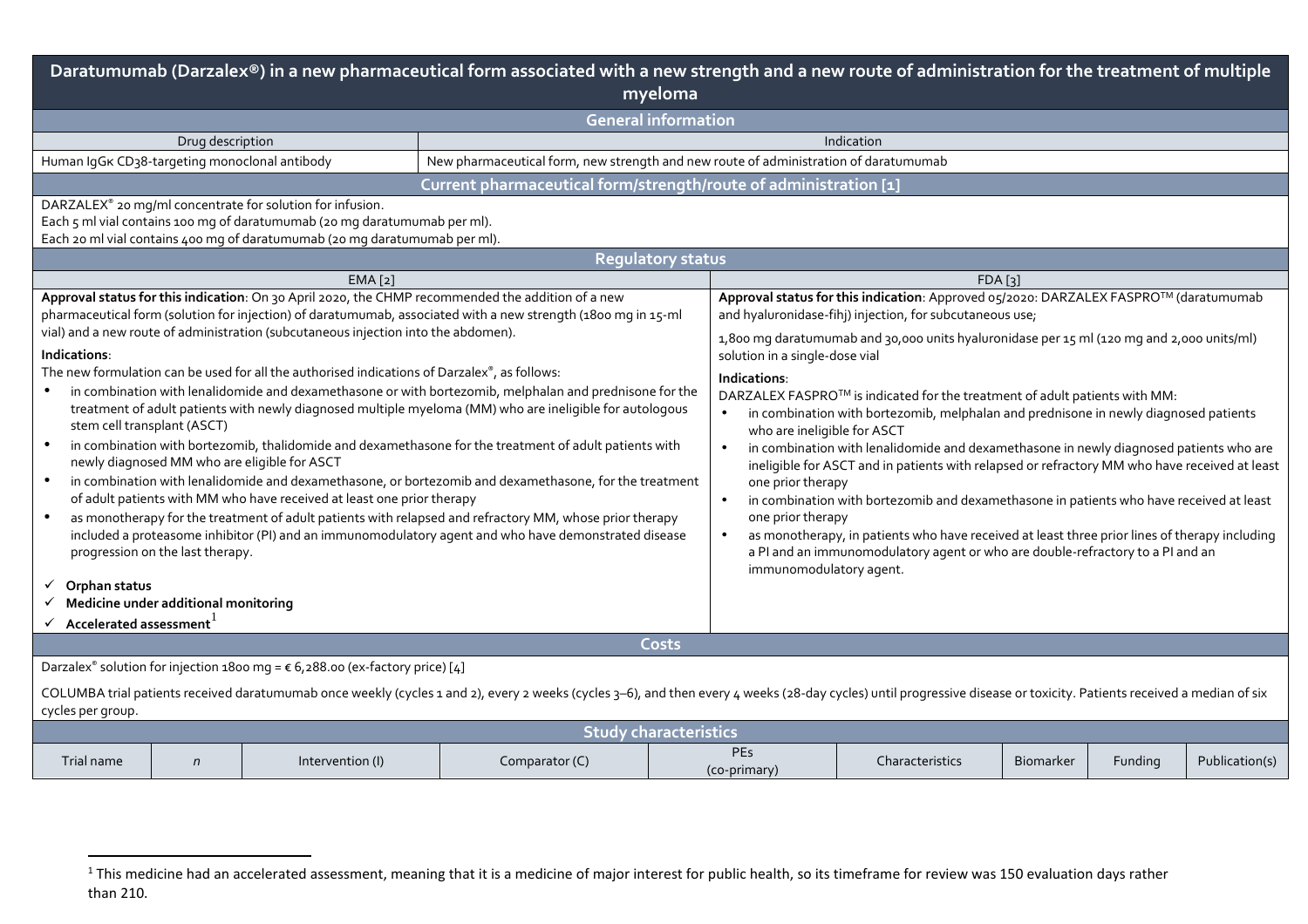| Daratumumab (Darzalex®) in a new pharmaceutical form associated with a new strength and a new route of administration for the treatment of multiple<br>myeloma                                                                                                                                                                                                                                                                                                                                                                                                                                                                                                                                                                                                                                                                                                                                                                                                                                                                                                                                                                                                                                                                                                                                                                                                                      |                                                                  |                  |                                                                                      |       |                                                                                                                                                                                                                                                                                                                                                                                                                                                                                                                                                                                                                                                                                                                                                                                                                                                                                                                                                                                                                                                                 |                 |                  |         |                |  |  |
|-------------------------------------------------------------------------------------------------------------------------------------------------------------------------------------------------------------------------------------------------------------------------------------------------------------------------------------------------------------------------------------------------------------------------------------------------------------------------------------------------------------------------------------------------------------------------------------------------------------------------------------------------------------------------------------------------------------------------------------------------------------------------------------------------------------------------------------------------------------------------------------------------------------------------------------------------------------------------------------------------------------------------------------------------------------------------------------------------------------------------------------------------------------------------------------------------------------------------------------------------------------------------------------------------------------------------------------------------------------------------------------|------------------------------------------------------------------|------------------|--------------------------------------------------------------------------------------|-------|-----------------------------------------------------------------------------------------------------------------------------------------------------------------------------------------------------------------------------------------------------------------------------------------------------------------------------------------------------------------------------------------------------------------------------------------------------------------------------------------------------------------------------------------------------------------------------------------------------------------------------------------------------------------------------------------------------------------------------------------------------------------------------------------------------------------------------------------------------------------------------------------------------------------------------------------------------------------------------------------------------------------------------------------------------------------|-----------------|------------------|---------|----------------|--|--|
| <b>General information</b>                                                                                                                                                                                                                                                                                                                                                                                                                                                                                                                                                                                                                                                                                                                                                                                                                                                                                                                                                                                                                                                                                                                                                                                                                                                                                                                                                          |                                                                  |                  |                                                                                      |       |                                                                                                                                                                                                                                                                                                                                                                                                                                                                                                                                                                                                                                                                                                                                                                                                                                                                                                                                                                                                                                                                 |                 |                  |         |                |  |  |
|                                                                                                                                                                                                                                                                                                                                                                                                                                                                                                                                                                                                                                                                                                                                                                                                                                                                                                                                                                                                                                                                                                                                                                                                                                                                                                                                                                                     | Drug description<br>Indication                                   |                  |                                                                                      |       |                                                                                                                                                                                                                                                                                                                                                                                                                                                                                                                                                                                                                                                                                                                                                                                                                                                                                                                                                                                                                                                                 |                 |                  |         |                |  |  |
| Human IqGK CD38-targeting monoclonal antibody                                                                                                                                                                                                                                                                                                                                                                                                                                                                                                                                                                                                                                                                                                                                                                                                                                                                                                                                                                                                                                                                                                                                                                                                                                                                                                                                       |                                                                  |                  | New pharmaceutical form, new strength and new route of administration of daratumumab |       |                                                                                                                                                                                                                                                                                                                                                                                                                                                                                                                                                                                                                                                                                                                                                                                                                                                                                                                                                                                                                                                                 |                 |                  |         |                |  |  |
|                                                                                                                                                                                                                                                                                                                                                                                                                                                                                                                                                                                                                                                                                                                                                                                                                                                                                                                                                                                                                                                                                                                                                                                                                                                                                                                                                                                     | Current pharmaceutical form/strength/route of administration [1] |                  |                                                                                      |       |                                                                                                                                                                                                                                                                                                                                                                                                                                                                                                                                                                                                                                                                                                                                                                                                                                                                                                                                                                                                                                                                 |                 |                  |         |                |  |  |
| DARZALEX® 20 mg/ml concentrate for solution for infusion.<br>Each 5 ml vial contains 100 mg of daratumumab (20 mg daratumumab per ml).<br>Each 20 ml vial contains 400 mg of daratumumab (20 mg daratumumab per ml).                                                                                                                                                                                                                                                                                                                                                                                                                                                                                                                                                                                                                                                                                                                                                                                                                                                                                                                                                                                                                                                                                                                                                                |                                                                  |                  |                                                                                      |       |                                                                                                                                                                                                                                                                                                                                                                                                                                                                                                                                                                                                                                                                                                                                                                                                                                                                                                                                                                                                                                                                 |                 |                  |         |                |  |  |
| <b>Regulatory status</b>                                                                                                                                                                                                                                                                                                                                                                                                                                                                                                                                                                                                                                                                                                                                                                                                                                                                                                                                                                                                                                                                                                                                                                                                                                                                                                                                                            |                                                                  |                  |                                                                                      |       |                                                                                                                                                                                                                                                                                                                                                                                                                                                                                                                                                                                                                                                                                                                                                                                                                                                                                                                                                                                                                                                                 |                 |                  |         |                |  |  |
|                                                                                                                                                                                                                                                                                                                                                                                                                                                                                                                                                                                                                                                                                                                                                                                                                                                                                                                                                                                                                                                                                                                                                                                                                                                                                                                                                                                     |                                                                  | EMA[2]           |                                                                                      |       |                                                                                                                                                                                                                                                                                                                                                                                                                                                                                                                                                                                                                                                                                                                                                                                                                                                                                                                                                                                                                                                                 | FDA[3]          |                  |         |                |  |  |
| Approval status for this indication: On 30 April 2020, the CHMP recommended the addition of a new<br>pharmaceutical form (solution for injection) of daratumumab, associated with a new strength (1800 mg in 15-ml<br>vial) and a new route of administration (subcutaneous injection into the abdomen).<br>Indications:<br>The new formulation can be used for all the authorised indications of Darzalex®, as follows:<br>in combination with lenalidomide and dexamethasone or with bortezomib, melphalan and prednisone for the<br>treatment of adult patients with newly diagnosed multiple myeloma (MM) who are ineligible for autologous<br>stem cell transplant (ASCT)<br>in combination with bortezomib, thalidomide and dexamethasone for the treatment of adult patients with<br>$\bullet$<br>newly diagnosed MM who are eligible for ASCT<br>in combination with lenalidomide and dexamethasone, or bortezomib and dexamethasone, for the treatment<br>$\bullet$<br>of adult patients with MM who have received at least one prior therapy<br>as monotherapy for the treatment of adult patients with relapsed and refractory MM, whose prior therapy<br>$\bullet$<br>included a proteasome inhibitor (PI) and an immunomodulatory agent and who have demonstrated disease<br>progression on the last therapy.<br>Orphan status<br>Medicine under additional monitoring |                                                                  |                  |                                                                                      |       | Approval status for this indication: Approved 05/2020: DARZALEX FASPRO™ (daratumumab<br>and hyaluronidase-fihj) injection, for subcutaneous use;<br>1,800 mg daratumumab and 30,000 units hyaluronidase per 15 ml (120 mg and 2,000 units/ml)<br>solution in a single-dose vial<br>Indications:<br>DARZALEX FASPRO™ is indicated for the treatment of adult patients with MM:<br>in combination with bortezomib, melphalan and prednisone in newly diagnosed patients<br>who are ineligible for ASCT<br>in combination with lenalidomide and dexamethasone in newly diagnosed patients who are<br>$\bullet$<br>ineligible for ASCT and in patients with relapsed or refractory MM who have received at least<br>one prior therapy<br>in combination with bortezomib and dexamethasone in patients who have received at least<br>one prior therapy<br>as monotherapy, in patients who have received at least three prior lines of therapy including<br>a PI and an immunomodulatory agent or who are double-refractory to a PI and an<br>immunomodulatory agent. |                 |                  |         |                |  |  |
| $\checkmark$ Accelerated assessment                                                                                                                                                                                                                                                                                                                                                                                                                                                                                                                                                                                                                                                                                                                                                                                                                                                                                                                                                                                                                                                                                                                                                                                                                                                                                                                                                 |                                                                  |                  |                                                                                      | Costs |                                                                                                                                                                                                                                                                                                                                                                                                                                                                                                                                                                                                                                                                                                                                                                                                                                                                                                                                                                                                                                                                 |                 |                  |         |                |  |  |
|                                                                                                                                                                                                                                                                                                                                                                                                                                                                                                                                                                                                                                                                                                                                                                                                                                                                                                                                                                                                                                                                                                                                                                                                                                                                                                                                                                                     |                                                                  |                  |                                                                                      |       |                                                                                                                                                                                                                                                                                                                                                                                                                                                                                                                                                                                                                                                                                                                                                                                                                                                                                                                                                                                                                                                                 |                 |                  |         |                |  |  |
| Darzalex® solution for injection 1800 mg = € 6,288.00 (ex-factory price) [4]<br>COLUMBA trial patients received daratumumab once weekly (cycles 1 and 2), every 2 weeks (cycles 3-6), and then every 4 weeks (28-day cycles) until progressive disease or toxicity. Patients received a median of six<br>cycles per group.                                                                                                                                                                                                                                                                                                                                                                                                                                                                                                                                                                                                                                                                                                                                                                                                                                                                                                                                                                                                                                                          |                                                                  |                  |                                                                                      |       |                                                                                                                                                                                                                                                                                                                                                                                                                                                                                                                                                                                                                                                                                                                                                                                                                                                                                                                                                                                                                                                                 |                 |                  |         |                |  |  |
| <b>Study characteristics</b>                                                                                                                                                                                                                                                                                                                                                                                                                                                                                                                                                                                                                                                                                                                                                                                                                                                                                                                                                                                                                                                                                                                                                                                                                                                                                                                                                        |                                                                  |                  |                                                                                      |       |                                                                                                                                                                                                                                                                                                                                                                                                                                                                                                                                                                                                                                                                                                                                                                                                                                                                                                                                                                                                                                                                 |                 |                  |         |                |  |  |
| Trial name                                                                                                                                                                                                                                                                                                                                                                                                                                                                                                                                                                                                                                                                                                                                                                                                                                                                                                                                                                                                                                                                                                                                                                                                                                                                                                                                                                          | $\sqrt{n}$                                                       | Intervention (I) | Comparator (C)                                                                       |       | <b>PEs</b><br>(co-primary)                                                                                                                                                                                                                                                                                                                                                                                                                                                                                                                                                                                                                                                                                                                                                                                                                                                                                                                                                                                                                                      | Characteristics | <b>Biomarker</b> | Funding | Publication(s) |  |  |

 $^1$ This medicine had an accelerated assessment, meaning that it is a medicine of major interest for public health, so its timeframe for review was 150 evaluation days rather than 210.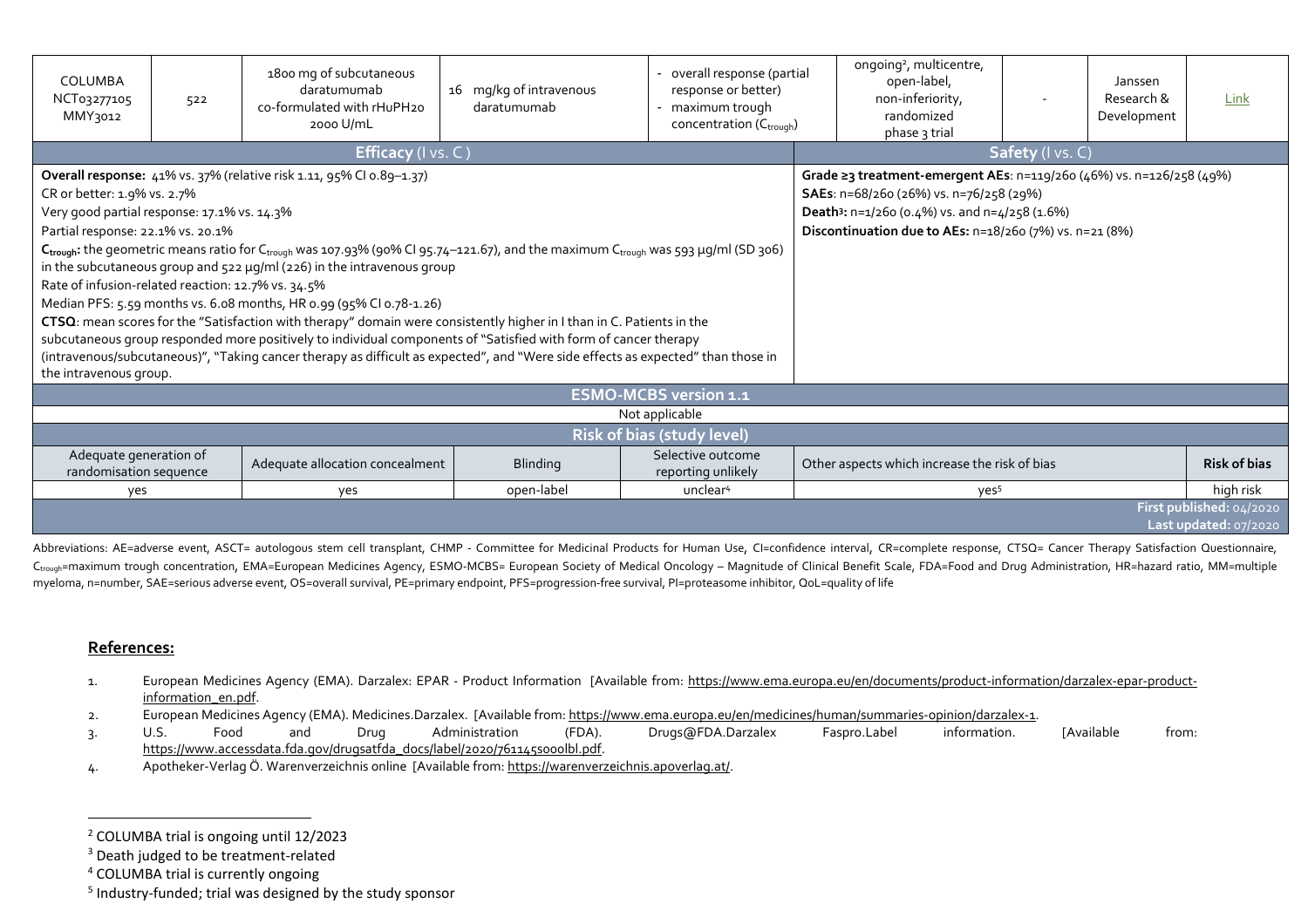| COLUMBA<br>NCT03277105<br>MMY3012                                                                                                                                                               | 522 | 1800 mg of subcutaneous<br>daratumumab<br>co-formulated with rHuPH20<br>2000 U/mL                                                                                                                                                                                                                                                                                                                                                                                                                                                                                                                                                                                                                                                                                              | 16 mg/kg of intravenous<br>daratumumab                                                                                                                                                                                                       | overall response (partial<br>response or better)<br>- maximum trough<br>concentration (C <sub>trough</sub> ) |  | ongoing <sup>2</sup> , multicentre,<br>open-label,<br>non-inferiority,<br>randomized<br>phase 3 trial | Janssen<br>Research &<br>Development | Link                |  |  |
|-------------------------------------------------------------------------------------------------------------------------------------------------------------------------------------------------|-----|--------------------------------------------------------------------------------------------------------------------------------------------------------------------------------------------------------------------------------------------------------------------------------------------------------------------------------------------------------------------------------------------------------------------------------------------------------------------------------------------------------------------------------------------------------------------------------------------------------------------------------------------------------------------------------------------------------------------------------------------------------------------------------|----------------------------------------------------------------------------------------------------------------------------------------------------------------------------------------------------------------------------------------------|--------------------------------------------------------------------------------------------------------------|--|-------------------------------------------------------------------------------------------------------|--------------------------------------|---------------------|--|--|
|                                                                                                                                                                                                 |     | Efficacy (I vs. C)                                                                                                                                                                                                                                                                                                                                                                                                                                                                                                                                                                                                                                                                                                                                                             |                                                                                                                                                                                                                                              | Safety (I vs. C)                                                                                             |  |                                                                                                       |                                      |                     |  |  |
| CR or better: 1.9% vs. 2.7%<br>Very good partial response: 17.1% vs. 14.3%<br>Partial response: 22.1% vs. 20.1%<br>Rate of infusion-related reaction: 12.7% vs. 34.5%<br>the intravenous group. |     | Overall response: 41% vs. 37% (relative risk 1.11, 95% CI 0.89-1.37)<br>$C_{\text{trough}}$ : the geometric means ratio for $C_{\text{trough}}$ was 107.93% (90% CI 95.74-121.67), and the maximum $C_{\text{trough}}$ was 593 µg/ml (SD 306)<br>in the subcutaneous group and 522 µg/ml (226) in the intravenous group<br>Median PFS: 5.59 months vs. 6.08 months, HR 0.99 (95% CI 0.78-1.26)<br>CTSQ: mean scores for the "Satisfaction with therapy" domain were consistently higher in I than in C. Patients in the<br>subcutaneous group responded more positively to individual components of "Satisfied with form of cancer therapy<br>(intravenous/subcutaneous)", "Taking cancer therapy as difficult as expected", and "Were side effects as expected" than those in | Grade ≥3 treatment-emergent AEs: n=119/260 (46%) vs. n=126/258 (49%)<br>SAEs: n=68/260 (26%) vs. n=76/258 (29%)<br>Death <sup>3</sup> : $n=1/260$ (0.4%) vs. and $n=4/258$ (1.6%)<br>Discontinuation due to AEs: n=18/260 (7%) vs. n=21 (8%) |                                                                                                              |  |                                                                                                       |                                      |                     |  |  |
|                                                                                                                                                                                                 |     |                                                                                                                                                                                                                                                                                                                                                                                                                                                                                                                                                                                                                                                                                                                                                                                |                                                                                                                                                                                                                                              | <b>ESMO-MCBS version 1.1</b>                                                                                 |  |                                                                                                       |                                      |                     |  |  |
| Not applicable                                                                                                                                                                                  |     |                                                                                                                                                                                                                                                                                                                                                                                                                                                                                                                                                                                                                                                                                                                                                                                |                                                                                                                                                                                                                                              |                                                                                                              |  |                                                                                                       |                                      |                     |  |  |
|                                                                                                                                                                                                 |     |                                                                                                                                                                                                                                                                                                                                                                                                                                                                                                                                                                                                                                                                                                                                                                                |                                                                                                                                                                                                                                              | <b>Risk of bias (study level)</b>                                                                            |  |                                                                                                       |                                      |                     |  |  |
| Adequate generation of<br>randomisation sequence                                                                                                                                                |     | Adequate allocation concealment                                                                                                                                                                                                                                                                                                                                                                                                                                                                                                                                                                                                                                                                                                                                                | <b>Blinding</b>                                                                                                                                                                                                                              | Selective outcome<br>reporting unlikely                                                                      |  | Other aspects which increase the risk of bias                                                         |                                      | <b>Risk of bias</b> |  |  |
| yes                                                                                                                                                                                             |     | yes                                                                                                                                                                                                                                                                                                                                                                                                                                                                                                                                                                                                                                                                                                                                                                            | open-label                                                                                                                                                                                                                                   | unclear <sup>4</sup>                                                                                         |  | yes <sup>5</sup>                                                                                      |                                      | high risk           |  |  |
| First published: 04/2020<br>Last updated: 07/2020                                                                                                                                               |     |                                                                                                                                                                                                                                                                                                                                                                                                                                                                                                                                                                                                                                                                                                                                                                                |                                                                                                                                                                                                                                              |                                                                                                              |  |                                                                                                       |                                      |                     |  |  |

Abbreviations: AE=adverse event, ASCT= autologous stem cell transplant, CHMP - Committee for Medicinal Products for Human Use, CI=confidence interval, CR=complete response, CTSQ= Cancer Therapy Satisfaction Questionnaire, C<sub>trough</sub>=maximum trough concentration, EMA=European Medicines Agency, ESMO-MCBS= European Society of Medical Oncology – Magnitude of Clinical Benefit Scale, FDA=Food and Drug Administration, HR=hazard ratio, MM=multiple myeloma, n=number, SAE=serious adverse event, OS=overall survival, PE=primary endpoint, PFS=progression-free survival, PI=proteasome inhibitor, QoL=quality of life

## **References:**

- 1. European Medicines Agency (EMA). Darzalex: EPAR Product Information [Available from: https://www.ema.europa.eu/en/documents/product-information/darzalex-epar-productinformation\_en.pdf.
- 2. European Medicines Agency (EMA). Medicines.Darzalex. [Available from: https://www.ema.europa.eu/en/medicines/human/summaries-opinion/darzalex-1.
- 3. U.S. Food and Drug Administration (FDA). Drugs@FDA.Darzalex Faspro.Label information. [Available from: https://www.accessdata.fda.gov/drugsatfda\_docs/label/2020/761145s000lbl.pdf.
- 4. Apotheker-Verlag Ö. Warenverzeichnis online [Available from: https://warenverzeichnis.apoverlag.at/.

<sup>2</sup> COLUMBA trial is ongoing until 12/2023

<sup>&</sup>lt;sup>3</sup> Death judged to be treatment-related

<sup>4</sup> COLUMBA trial is currently ongoing

<sup>&</sup>lt;sup>5</sup> Industry-funded; trial was designed by the study sponsor